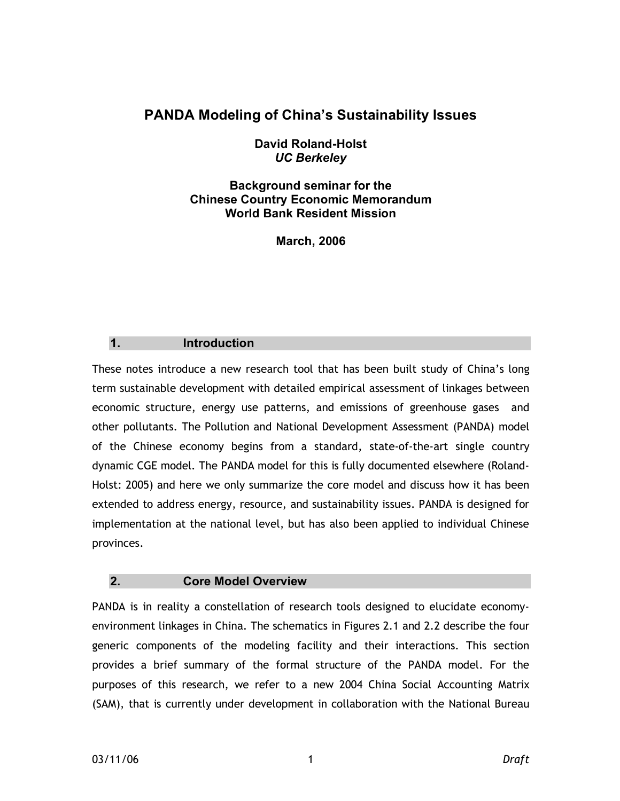# **PANDA Modeling of China's Sustainability Issues**

**David Roland-Holst** *UC Berkeley*

**Background seminar for the Chinese Country Economic Memorandum World Bank Resident Mission**

**March, 2006**

#### **1. Introduction**

These notes introduce a new research tool that has been built study of China's long term sustainable development with detailed empirical assessment of linkages between economic structure, energy use patterns, and emissions of greenhouse gases and other pollutants. The Pollution and National Development Assessment (PANDA) model of the Chinese economy begins from a standard, state-of-the-art single country dynamic CGE model. The PANDA model for this is fully documented elsewhere (Roland-Holst: 2005) and here we only summarize the core model and discuss how it has been extended to address energy, resource, and sustainability issues. PANDA is designed for implementation at the national level, but has also been applied to individual Chinese provinces.

#### **2. Core Model Overview**

PANDA is in reality a constellation of research tools designed to elucidate economyenvironment linkages in China. The schematics in Figures 2.1 and 2.2 describe the four generic components of the modeling facility and their interactions. This section provides a brief summary of the formal structure of the PANDA model. For the purposes of this research, we refer to a new 2004 China Social Accounting Matrix (SAM), that is currently under development in collaboration with the National Bureau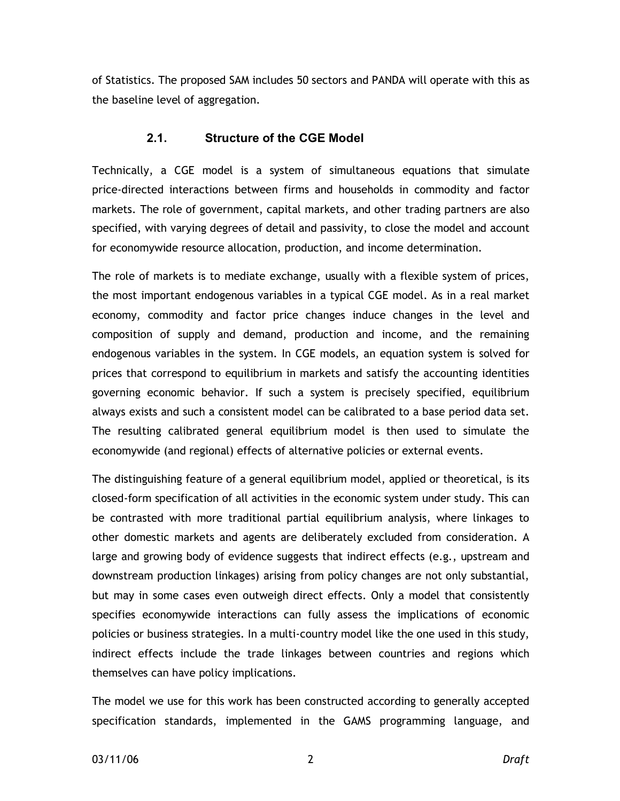of Statistics. The proposed SAM includes 50 sectors and PANDA will operate with this as the baseline level of aggregation.

#### **2.1. Structure of the CGE Model**

Technically, a CGE model is a system of simultaneous equations that simulate price-directed interactions between firms and households in commodity and factor markets. The role of government, capital markets, and other trading partners are also specified, with varying degrees of detail and passivity, to close the model and account for economywide resource allocation, production, and income determination.

The role of markets is to mediate exchange, usually with a flexible system of prices, the most important endogenous variables in a typical CGE model. As in a real market economy, commodity and factor price changes induce changes in the level and composition of supply and demand, production and income, and the remaining endogenous variables in the system. In CGE models, an equation system is solved for prices that correspond to equilibrium in markets and satisfy the accounting identities governing economic behavior. If such a system is precisely specified, equilibrium always exists and such a consistent model can be calibrated to a base period data set. The resulting calibrated general equilibrium model is then used to simulate the economywide (and regional) effects of alternative policies or external events.

The distinguishing feature of a general equilibrium model, applied or theoretical, is its closed-form specification of all activities in the economic system under study. This can be contrasted with more traditional partial equilibrium analysis, where linkages to other domestic markets and agents are deliberately excluded from consideration. A large and growing body of evidence suggests that indirect effects (e.g., upstream and downstream production linkages) arising from policy changes are not only substantial, but may in some cases even outweigh direct effects. Only a model that consistently specifies economywide interactions can fully assess the implications of economic policies or business strategies. In a multi-country model like the one used in this study, indirect effects include the trade linkages between countries and regions which themselves can have policy implications.

The model we use for this work has been constructed according to generally accepted specification standards, implemented in the GAMS programming language, and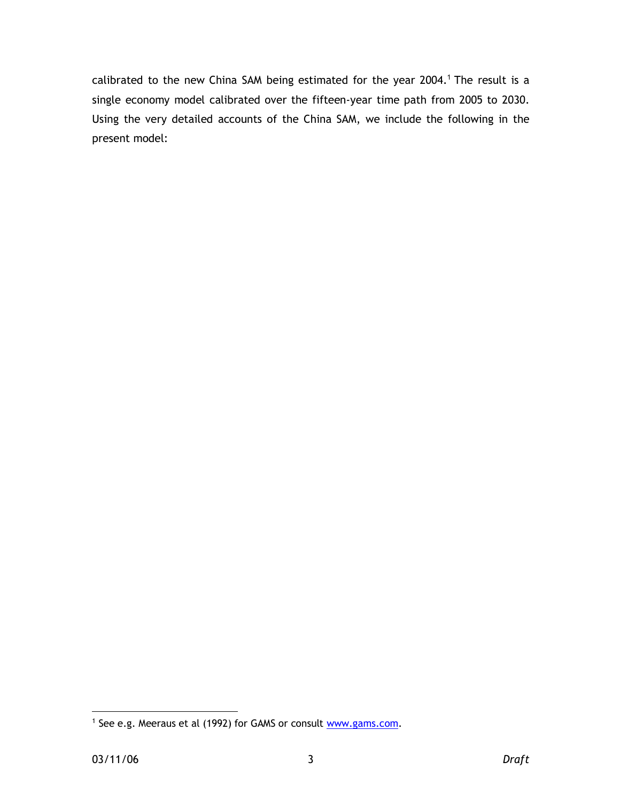calibrated to the new China SAM being estimated for the year 2004. <sup>1</sup> The result is a single economy model calibrated over the fifteen-year time path from 2005 to 2030. Using the very detailed accounts of the China SAM, we include the following in the present model:

<sup>&</sup>lt;u>.</u> <sup>1</sup> See e.g. Meeraus et al (1992) for GAMS or consult www.gams.com.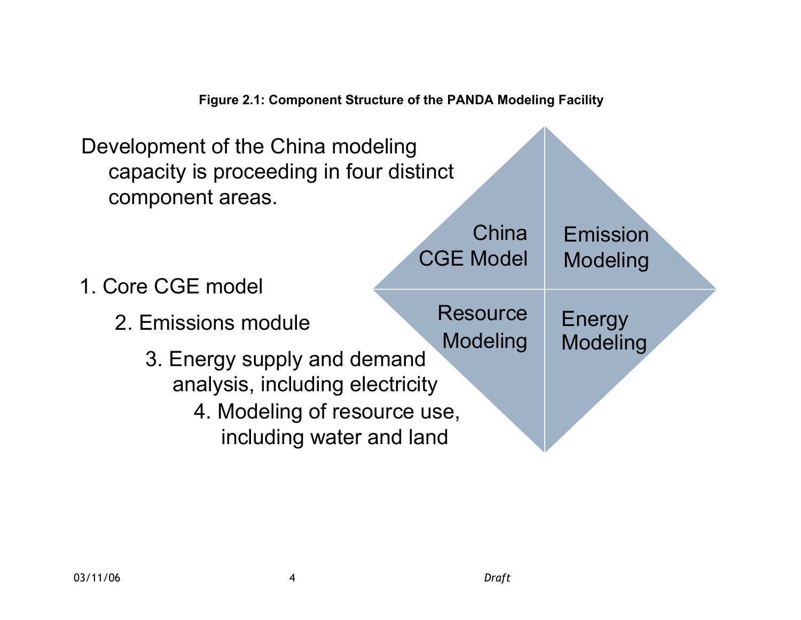**Figure 2.1: Component Structure of the PANDA Modeling Facility**

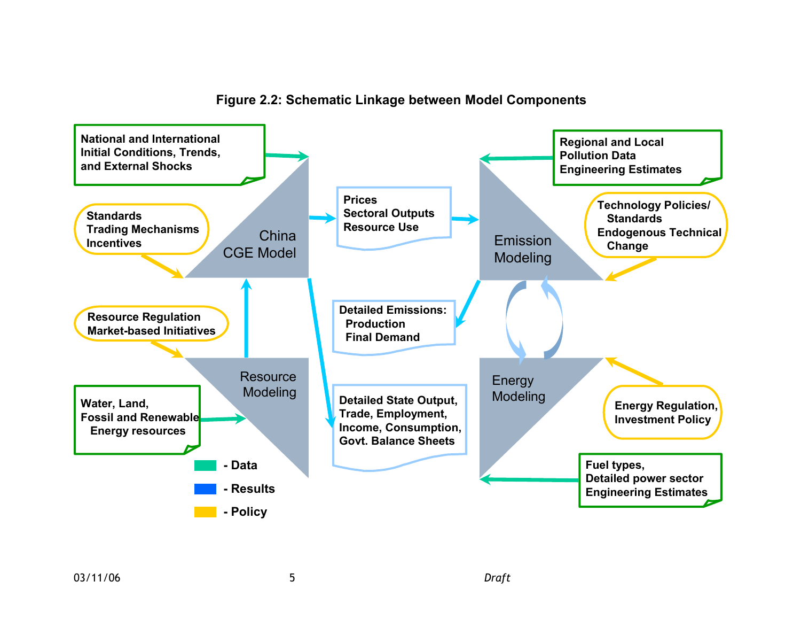

#### **Figure 2.2: Schematic Linkage between Model Components**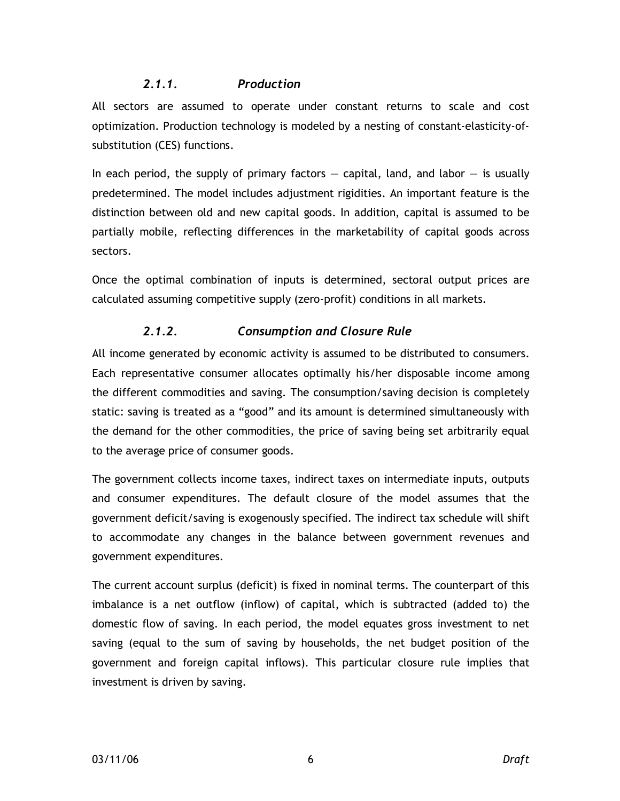## *2.1.1. Production*

All sectors are assumed to operate under constant returns to scale and cost optimization. Production technology is modeled by a nesting of constant-elasticity-ofsubstitution (CES) functions.

In each period, the supply of primary factors  $-$  capital, land, and labor  $-$  is usually predetermined. The model includes adjustment rigidities. An important feature is the distinction between old and new capital goods. In addition, capital is assumed to be partially mobile, reflecting differences in the marketability of capital goods across sectors.

Once the optimal combination of inputs is determined, sectoral output prices are calculated assuming competitive supply (zero-profit) conditions in all markets.

## *2.1.2. Consumption and Closure Rule*

All income generated by economic activity is assumed to be distributed to consumers. Each representative consumer allocates optimally his/her disposable income among the different commodities and saving. The consumption/saving decision is completely static: saving is treated as a "good" and its amount is determined simultaneously with the demand for the other commodities, the price of saving being set arbitrarily equal to the average price of consumer goods.

The government collects income taxes, indirect taxes on intermediate inputs, outputs and consumer expenditures. The default closure of the model assumes that the government deficit/saving is exogenously specified. The indirect tax schedule will shift to accommodate any changes in the balance between government revenues and government expenditures.

The current account surplus (deficit) is fixed in nominal terms. The counterpart of this imbalance is a net outflow (inflow) of capital, which is subtracted (added to) the domestic flow of saving. In each period, the model equates gross investment to net saving (equal to the sum of saving by households, the net budget position of the government and foreign capital inflows). This particular closure rule implies that investment is driven by saving.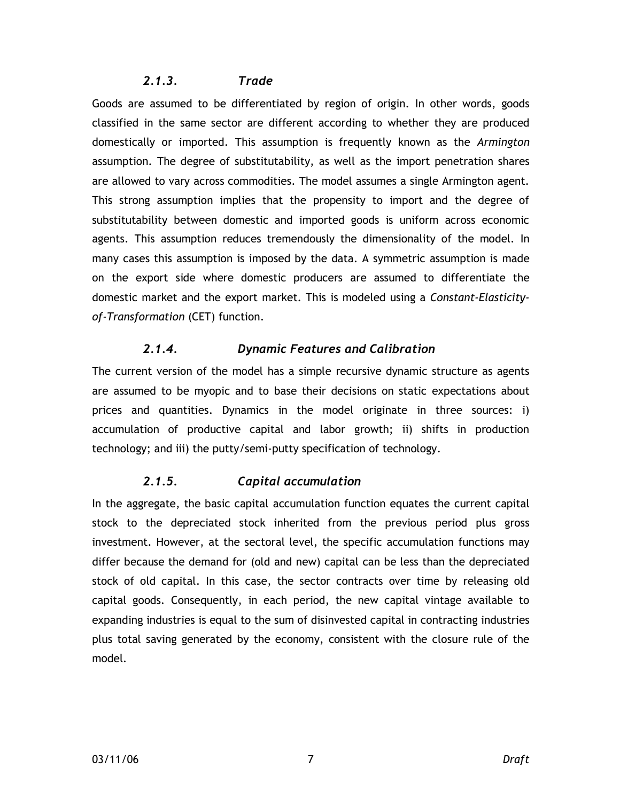## *2.1.3. Trade*

Goods are assumed to be differentiated by region of origin. In other words, goods classified in the same sector are different according to whether they are produced domestically or imported. This assumption is frequently known as the *Armington* assumption. The degree of substitutability, as well as the import penetration shares are allowed to vary across commodities. The model assumes a single Armington agent. This strong assumption implies that the propensity to import and the degree of substitutability between domestic and imported goods is uniform across economic agents. This assumption reduces tremendously the dimensionality of the model. In many cases this assumption is imposed by the data. A symmetric assumption is made on the export side where domestic producers are assumed to differentiate the domestic market and the export market. This is modeled using a *Constant-Elasticityof-Transformation* (CET) function.

# *2.1.4. Dynamic Features and Calibration*

The current version of the model has a simple recursive dynamic structure as agents are assumed to be myopic and to base their decisions on static expectations about prices and quantities. Dynamics in the model originate in three sources: i) accumulation of productive capital and labor growth; ii) shifts in production technology; and iii) the putty/semi-putty specification of technology.

# *2.1.5. Capital accumulation*

In the aggregate, the basic capital accumulation function equates the current capital stock to the depreciated stock inherited from the previous period plus gross investment. However, at the sectoral level, the specific accumulation functions may differ because the demand for (old and new) capital can be less than the depreciated stock of old capital. In this case, the sector contracts over time by releasing old capital goods. Consequently, in each period, the new capital vintage available to expanding industries is equal to the sum of disinvested capital in contracting industries plus total saving generated by the economy, consistent with the closure rule of the model.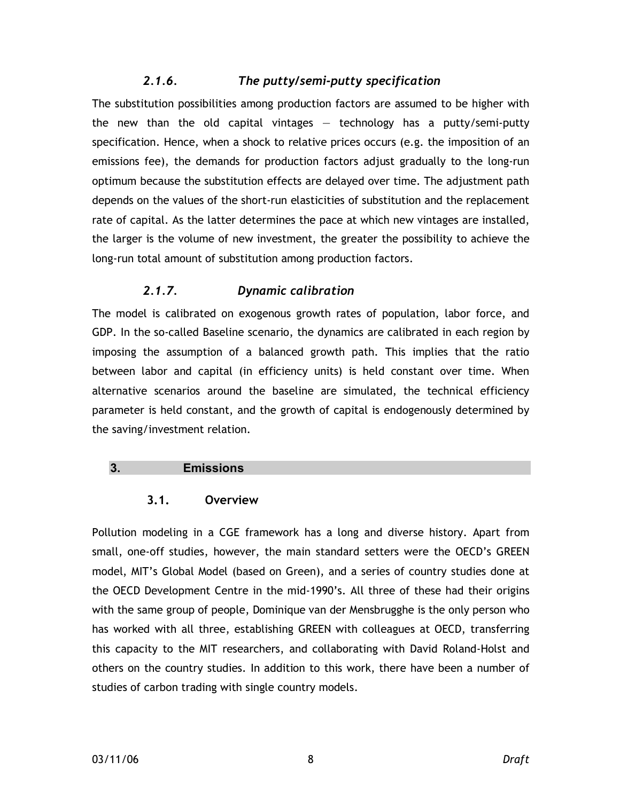# *2.1.6. The putty/semi-putty specification*

The substitution possibilities among production factors are assumed to be higher with the new than the old capital vintages  $-$  technology has a putty/semi-putty specification. Hence, when a shock to relative prices occurs (e.g. the imposition of an emissions fee), the demands for production factors adjust gradually to the long-run optimum because the substitution effects are delayed over time. The adjustment path depends on the values of the short-run elasticities of substitution and the replacement rate of capital. As the latter determines the pace at which new vintages are installed, the larger is the volume of new investment, the greater the possibility to achieve the long-run total amount of substitution among production factors.

# *2.1.7. Dynamic calibration*

The model is calibrated on exogenous growth rates of population, labor force, and GDP. In the so-called Baseline scenario, the dynamics are calibrated in each region by imposing the assumption of a balanced growth path. This implies that the ratio between labor and capital (in efficiency units) is held constant over time. When alternative scenarios around the baseline are simulated, the technical efficiency parameter is held constant, and the growth of capital is endogenously determined by the saving/investment relation.

**3. Emissions**

#### **3.1. Overview**

Pollution modeling in a CGE framework has a long and diverse history. Apart from small, one-off studies, however, the main standard setters were the OECD's GREEN model, MIT's Global Model (based on Green), and a series of country studies done at the OECD Development Centre in the mid-1990's. All three of these had their origins with the same group of people, Dominique van der Mensbrugghe is the only person who has worked with all three, establishing GREEN with colleagues at OECD, transferring this capacity to the MIT researchers, and collaborating with David Roland-Holst and others on the country studies. In addition to this work, there have been a number of studies of carbon trading with single country models.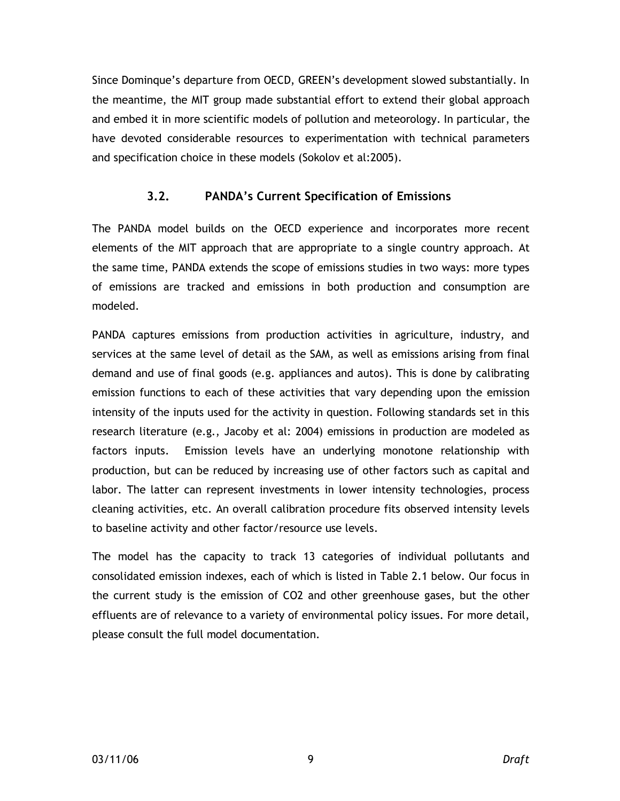Since Dominque's departure from OECD, GREEN's development slowed substantially. In the meantime, the MIT group made substantial effort to extend their global approach and embed it in more scientific models of pollution and meteorology. In particular, the have devoted considerable resources to experimentation with technical parameters and specification choice in these models (Sokolov et al:2005).

# **3.2. PANDA's Current Specification of Emissions**

The PANDA model builds on the OECD experience and incorporates more recent elements of the MIT approach that are appropriate to a single country approach. At the same time, PANDA extends the scope of emissions studies in two ways: more types of emissions are tracked and emissions in both production and consumption are modeled.

PANDA captures emissions from production activities in agriculture, industry, and services at the same level of detail as the SAM, as well as emissions arising from final demand and use of final goods (e.g. appliances and autos). This is done by calibrating emission functions to each of these activities that vary depending upon the emission intensity of the inputs used for the activity in question. Following standards set in this research literature (e.g., Jacoby et al: 2004) emissions in production are modeled as factors inputs. Emission levels have an underlying monotone relationship with production, but can be reduced by increasing use of other factors such as capital and labor. The latter can represent investments in lower intensity technologies, process cleaning activities, etc. An overall calibration procedure fits observed intensity levels to baseline activity and other factor/resource use levels.

The model has the capacity to track 13 categories of individual pollutants and consolidated emission indexes, each of which is listed in Table 2.1 below. Our focus in the current study is the emission of CO2 and other greenhouse gases, but the other effluents are of relevance to a variety of environmental policy issues. For more detail, please consult the full model documentation.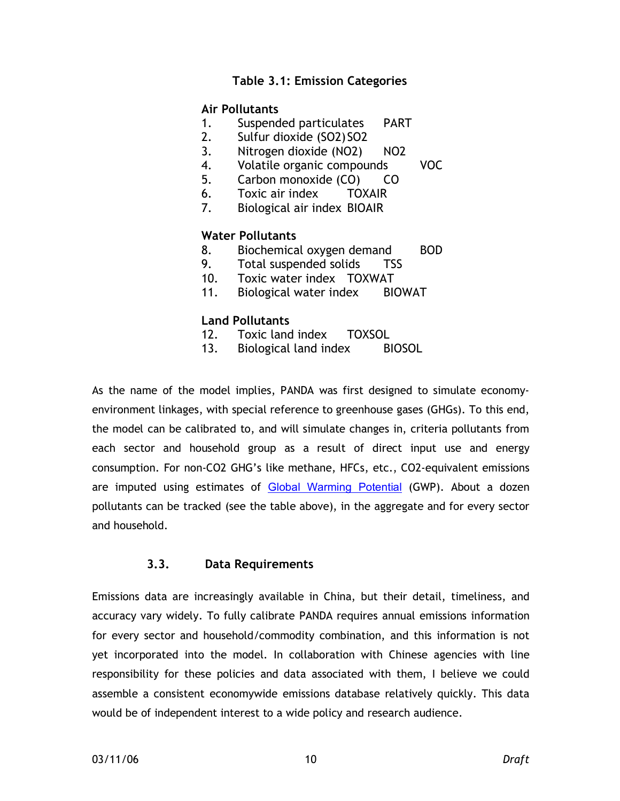#### **Table 3.1: Emission Categories**

#### **Air Pollutants**

- 1. Suspended particulates PART
- 2. Sulfur dioxide (SO2)SO2
- 3. Nitrogen dioxide (NO2) NO2
- 4. Volatile organic compounds VOC
- 5. Carbon monoxide (CO) CO
- 6. Toxic air index TOXAIR
- 7. Biological air index BIOAIR

#### **Water Pollutants**

- 8. Biochemical oxygen demand BOD
- 9. Total suspended solids TSS
- 10. Toxic water index TOXWAT
- 11. Biological water index BIOWAT

#### **Land Pollutants**

- 12. Toxic land index TOXSOL
- 13. Biological land index BIOSOL

As the name of the model implies, PANDA was first designed to simulate economyenvironment linkages, with special reference to greenhouse gases (GHGs). To this end, the model can be calibrated to, and will simulate changes in, criteria pollutants from each sector and household group as a result of direct input use and energy consumption. For non-CO2 GHG's like methane, HFCs, etc., CO2-equivalent emissions are imputed using estimates of Global Warming Potential (GWP). About a dozen pollutants can be tracked (see the table above), in the aggregate and for every sector and household.

#### **3.3. Data Requirements**

Emissions data are increasingly available in China, but their detail, timeliness, and accuracy vary widely. To fully calibrate PANDA requires annual emissions information for every sector and household/commodity combination, and this information is not yet incorporated into the model. In collaboration with Chinese agencies with line responsibility for these policies and data associated with them, I believe we could assemble a consistent economywide emissions database relatively quickly. This data would be of independent interest to a wide policy and research audience.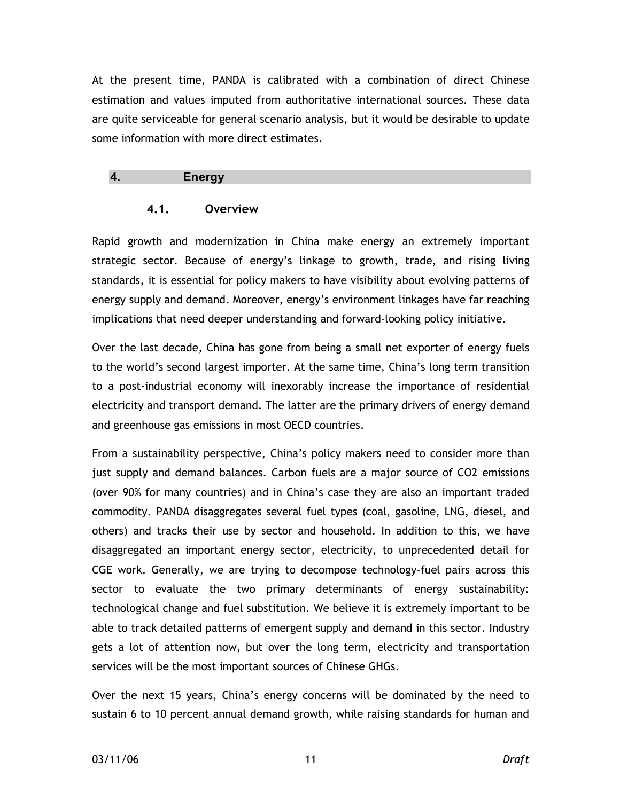At the present time, PANDA is calibrated with a combination of direct Chinese estimation and values imputed from authoritative international sources. These data are quite serviceable for general scenario analysis, but it would be desirable to update some information with more direct estimates.

#### **4. Energy**

#### **4.1. Overview**

Rapid growth and modernization in China make energy an extremely important strategic sector. Because of energy's linkage to growth, trade, and rising living standards, it is essential for policy makers to have visibility about evolving patterns of energy supply and demand. Moreover, energy's environment linkages have far reaching implications that need deeper understanding and forward-looking policy initiative.

Over the last decade, China has gone from being a small net exporter of energy fuels to the world's second largest importer. At the same time, China's long term transition to a post-industrial economy will inexorably increase the importance of residential electricity and transport demand. The latter are the primary drivers of energy demand and greenhouse gas emissions in most OECD countries.

From a sustainability perspective, China's policy makers need to consider more than just supply and demand balances. Carbon fuels are a major source of CO2 emissions (over 90% for many countries) and in China's case they are also an important traded commodity. PANDA disaggregates several fuel types (coal, gasoline, LNG, diesel, and others) and tracks their use by sector and household. In addition to this, we have disaggregated an important energy sector, electricity, to unprecedented detail for CGE work. Generally, we are trying to decompose technology-fuel pairs across this sector to evaluate the two primary determinants of energy sustainability: technological change and fuel substitution. We believe it is extremely important to be able to track detailed patterns of emergent supply and demand in this sector. Industry gets a lot of attention now, but over the long term, electricity and transportation services will be the most important sources of Chinese GHGs.

Over the next 15 years, China's energy concerns will be dominated by the need to sustain 6 to 10 percent annual demand growth, while raising standards for human and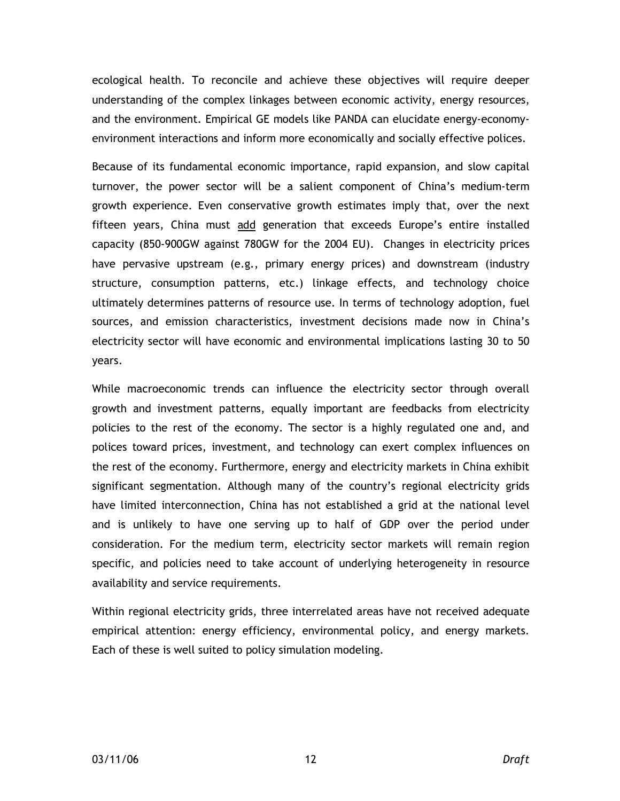ecological health. To reconcile and achieve these objectives will require deeper understanding of the complex linkages between economic activity, energy resources, and the environment. Empirical GE models like PANDA can elucidate energy-economyenvironment interactions and inform more economically and socially effective polices.

Because of its fundamental economic importance, rapid expansion, and slow capital turnover, the power sector will be a salient component of China's medium-term growth experience. Even conservative growth estimates imply that, over the next fifteen years, China must add generation that exceeds Europe's entire installed capacity (850-900GW against 780GW for the 2004 EU). Changes in electricity prices have pervasive upstream (e.g., primary energy prices) and downstream (industry structure, consumption patterns, etc.) linkage effects, and technology choice ultimately determines patterns of resource use. In terms of technology adoption, fuel sources, and emission characteristics, investment decisions made now in China's electricity sector will have economic and environmental implications lasting 30 to 50 years.

While macroeconomic trends can influence the electricity sector through overall growth and investment patterns, equally important are feedbacks from electricity policies to the rest of the economy. The sector is a highly regulated one and, and polices toward prices, investment, and technology can exert complex influences on the rest of the economy. Furthermore, energy and electricity markets in China exhibit significant segmentation. Although many of the country's regional electricity grids have limited interconnection, China has not established a grid at the national level and is unlikely to have one serving up to half of GDP over the period under consideration. For the medium term, electricity sector markets will remain region specific, and policies need to take account of underlying heterogeneity in resource availability and service requirements.

Within regional electricity grids, three interrelated areas have not received adequate empirical attention: energy efficiency, environmental policy, and energy markets. Each of these is well suited to policy simulation modeling.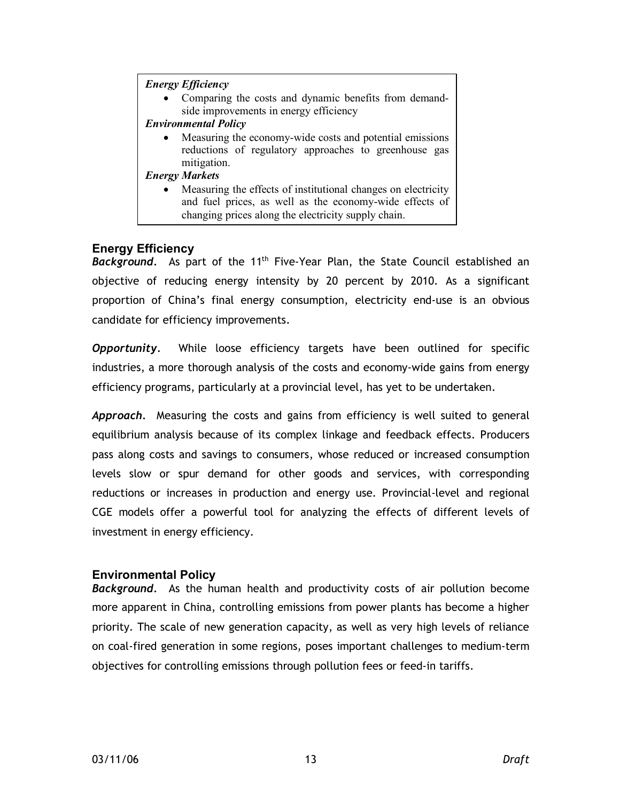#### *Energy Efficiency*

• Comparing the costs and dynamic benefits from demandside improvements in energy efficiency

#### *Environmental Policy*

Measuring the economy-wide costs and potential emissions reductions of regulatory approaches to greenhouse gas mitigation.

#### *Energy Markets*

• Measuring the effects of institutional changes on electricity and fuel prices, as well as the economy-wide effects of changing prices along the electricity supply chain.

#### **Energy Efficiency**

**Background.** As part of the 11<sup>th</sup> Five-Year Plan, the State Council established an objective of reducing energy intensity by 20 percent by 2010. As a significant proportion of China's final energy consumption, electricity end-use is an obvious candidate for efficiency improvements.

**Opportunity.** While loose efficiency targets have been outlined for specific industries, a more thorough analysis of the costs and economy-wide gains from energy efficiency programs, particularly at a provincial level, has yet to be undertaken.

*Approach.* Measuring the costs and gains from efficiency is well suited to general equilibrium analysis because of its complex linkage and feedback effects. Producers pass along costs and savings to consumers, whose reduced or increased consumption levels slow or spur demand for other goods and services, with corresponding reductions or increases in production and energy use. Provincial-level and regional CGE models offer a powerful tool for analyzing the effects of different levels of investment in energy efficiency.

#### **Environmental Policy**

*Background.* As the human health and productivity costs of air pollution become more apparent in China, controlling emissions from power plants has become a higher priority. The scale of new generation capacity, as well as very high levels of reliance on coal-fired generation in some regions, poses important challenges to medium-term objectives for controlling emissions through pollution fees or feed-in tariffs.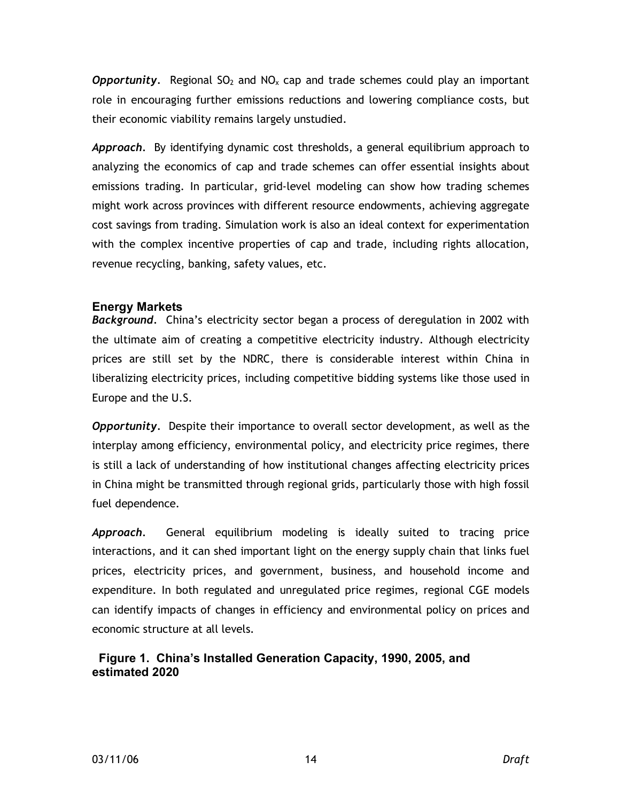**Opportunity.** Regional  $SO_2$  and  $NO_x$  cap and trade schemes could play an important role in encouraging further emissions reductions and lowering compliance costs, but their economic viability remains largely unstudied.

*Approach.* By identifying dynamic cost thresholds, a general equilibrium approach to analyzing the economics of cap and trade schemes can offer essential insights about emissions trading. In particular, grid-level modeling can show how trading schemes might work across provinces with different resource endowments, achieving aggregate cost savings from trading. Simulation work is also an ideal context for experimentation with the complex incentive properties of cap and trade, including rights allocation, revenue recycling, banking, safety values, etc.

#### **Energy Markets**

*Background.* China's electricity sector began a process of deregulation in 2002 with the ultimate aim of creating a competitive electricity industry. Although electricity prices are still set by the NDRC, there is considerable interest within China in liberalizing electricity prices, including competitive bidding systems like those used in Europe and the U.S.

*Opportunity.* Despite their importance to overall sector development, as well as the interplay among efficiency, environmental policy, and electricity price regimes, there is still a lack of understanding of how institutional changes affecting electricity prices in China might be transmitted through regional grids, particularly those with high fossil fuel dependence.

*Approach.* General equilibrium modeling is ideally suited to tracing price interactions, and it can shed important light on the energy supply chain that links fuel prices, electricity prices, and government, business, and household income and expenditure. In both regulated and unregulated price regimes, regional CGE models can identify impacts of changes in efficiency and environmental policy on prices and economic structure at all levels.

# **Figure 1. China's Installed Generation Capacity, 1990, 2005, and estimated 2020**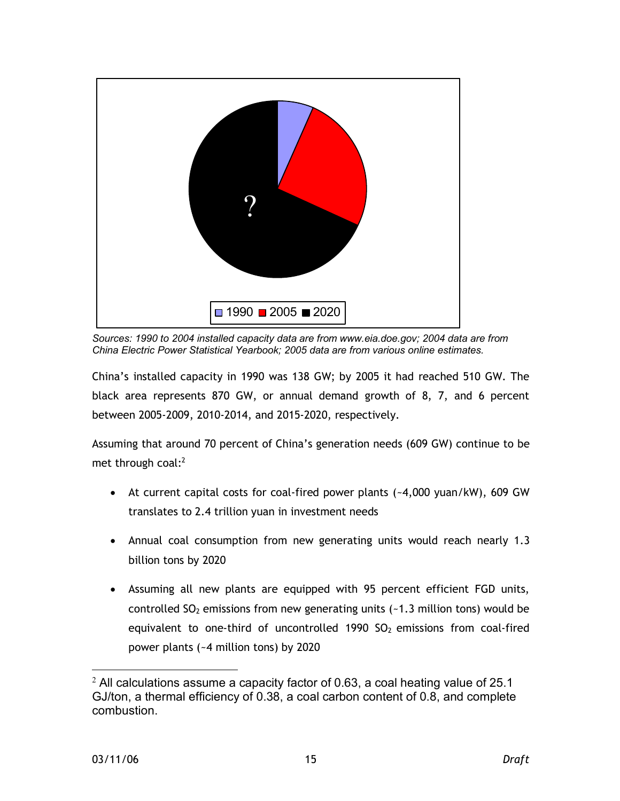

*Sources: 1990 to 2004 installed capacity data are from www.eia.doe.gov; 2004 data are from China Electric Power Statistical Yearbook; 2005 data are from various online estimates.*

China's installed capacity in 1990 was 138 GW; by 2005 it had reached 510 GW. The black area represents 870 GW, or annual demand growth of 8, 7, and 6 percent between 2005-2009, 2010-2014, and 2015-2020, respectively.

Assuming that around 70 percent of China's generation needs (609 GW) continue to be met through coal: $2$ 

- At current capital costs for coal-fired power plants (~4,000 yuan/kW), 609 GW translates to 2.4 trillion yuan in investment needs
- Annual coal consumption from new generating units would reach nearly 1.3 billion tons by 2020
- Assuming all new plants are equipped with 95 percent efficient FGD units, controlled  $SO_2$  emissions from new generating units (~1.3 million tons) would be equivalent to one-third of uncontrolled 1990  $SO<sub>2</sub>$  emissions from coal-fired power plants (~4 million tons) by 2020

 $2$  All calculations assume a capacity factor of 0.63, a coal heating value of 25.1 GJ/ton, a thermal efficiency of 0.38, a coal carbon content of 0.8, and complete combustion.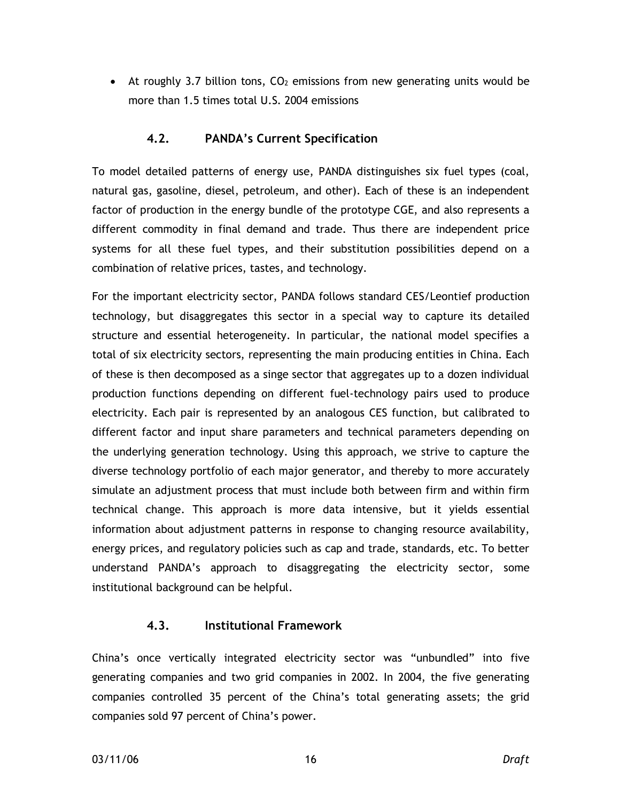• At roughly 3.7 billion tons,  $CO<sub>2</sub>$  emissions from new generating units would be more than 1.5 times total U.S. 2004 emissions

## **4.2. PANDA's Current Specification**

To model detailed patterns of energy use, PANDA distinguishes six fuel types (coal, natural gas, gasoline, diesel, petroleum, and other). Each of these is an independent factor of production in the energy bundle of the prototype CGE, and also represents a different commodity in final demand and trade. Thus there are independent price systems for all these fuel types, and their substitution possibilities depend on a combination of relative prices, tastes, and technology.

For the important electricity sector, PANDA follows standard CES/Leontief production technology, but disaggregates this sector in a special way to capture its detailed structure and essential heterogeneity. In particular, the national model specifies a total of six electricity sectors, representing the main producing entities in China. Each of these is then decomposed as a singe sector that aggregates up to a dozen individual production functions depending on different fuel-technology pairs used to produce electricity. Each pair is represented by an analogous CES function, but calibrated to different factor and input share parameters and technical parameters depending on the underlying generation technology. Using this approach, we strive to capture the diverse technology portfolio of each major generator, and thereby to more accurately simulate an adjustment process that must include both between firm and within firm technical change. This approach is more data intensive, but it yields essential information about adjustment patterns in response to changing resource availability, energy prices, and regulatory policies such as cap and trade, standards, etc. To better understand PANDA's approach to disaggregating the electricity sector, some institutional background can be helpful.

#### **4.3. Institutional Framework**

China's once vertically integrated electricity sector was "unbundled" into five generating companies and two grid companies in 2002. In 2004, the five generating companies controlled 35 percent of the China's total generating assets; the grid companies sold 97 percent of China's power.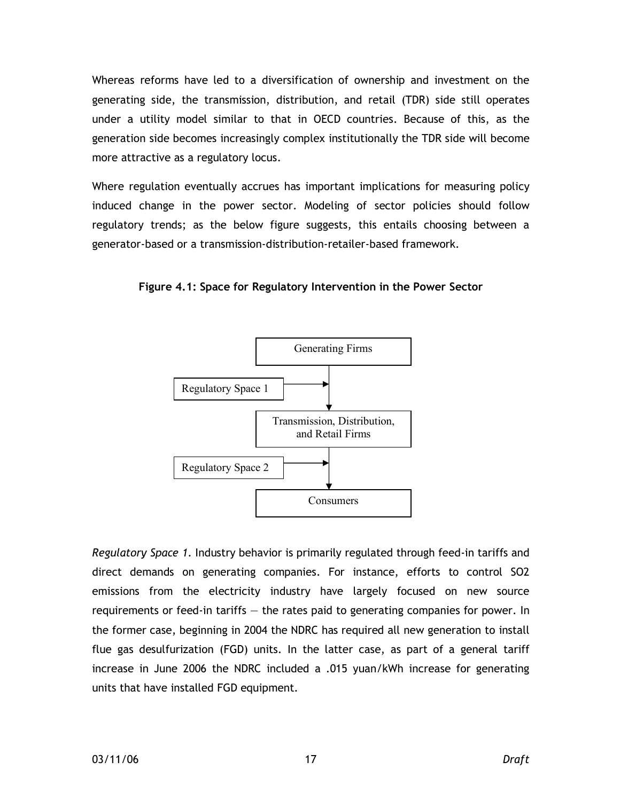Whereas reforms have led to a diversification of ownership and investment on the generating side, the transmission, distribution, and retail (TDR) side still operates under a utility model similar to that in OECD countries. Because of this, as the generation side becomes increasingly complex institutionally the TDR side will become more attractive as a regulatory locus.

Where regulation eventually accrues has important implications for measuring policy induced change in the power sector. Modeling of sector policies should follow regulatory trends; as the below figure suggests, this entails choosing between a generator-based or a transmission-distribution-retailer-based framework.





*Regulatory Space 1*. Industry behavior is primarily regulated through feed-in tariffs and direct demands on generating companies. For instance, efforts to control SO2 emissions from the electricity industry have largely focused on new source requirements or feed-in tariffs — the rates paid to generating companies for power. In the former case, beginning in 2004 the NDRC has required all new generation to install flue gas desulfurization (FGD) units. In the latter case, as part of a general tariff increase in June 2006 the NDRC included a .015 yuan/kWh increase for generating units that have installed FGD equipment.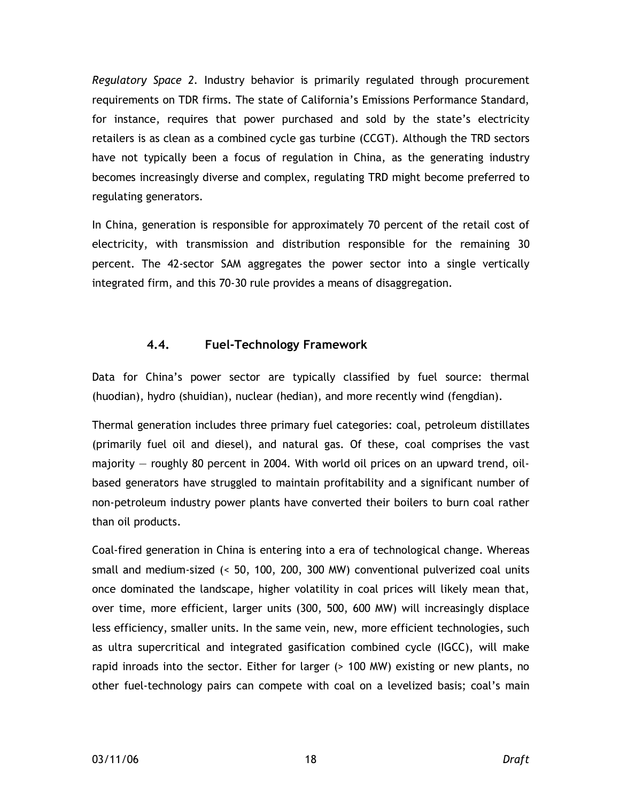*Regulatory Space 2*. Industry behavior is primarily regulated through procurement requirements on TDR firms. The state of California's Emissions Performance Standard, for instance, requires that power purchased and sold by the state's electricity retailers is as clean as a combined cycle gas turbine (CCGT). Although the TRD sectors have not typically been a focus of regulation in China, as the generating industry becomes increasingly diverse and complex, regulating TRD might become preferred to regulating generators.

In China, generation is responsible for approximately 70 percent of the retail cost of electricity, with transmission and distribution responsible for the remaining 30 percent. The 42-sector SAM aggregates the power sector into a single vertically integrated firm, and this 70-30 rule provides a means of disaggregation.

## **4.4. Fuel-Technology Framework**

Data for China's power sector are typically classified by fuel source: thermal (huodian), hydro (shuidian), nuclear (hedian), and more recently wind (fengdian).

Thermal generation includes three primary fuel categories: coal, petroleum distillates (primarily fuel oil and diesel), and natural gas. Of these, coal comprises the vast majority — roughly 80 percent in 2004. With world oil prices on an upward trend, oilbased generators have struggled to maintain profitability and a significant number of non-petroleum industry power plants have converted their boilers to burn coal rather than oil products.

Coal-fired generation in China is entering into a era of technological change. Whereas small and medium-sized (< 50, 100, 200, 300 MW) conventional pulverized coal units once dominated the landscape, higher volatility in coal prices will likely mean that, over time, more efficient, larger units (300, 500, 600 MW) will increasingly displace less efficiency, smaller units. In the same vein, new, more efficient technologies, such as ultra supercritical and integrated gasification combined cycle (IGCC), will make rapid inroads into the sector. Either for larger (> 100 MW) existing or new plants, no other fuel-technology pairs can compete with coal on a levelized basis; coal's main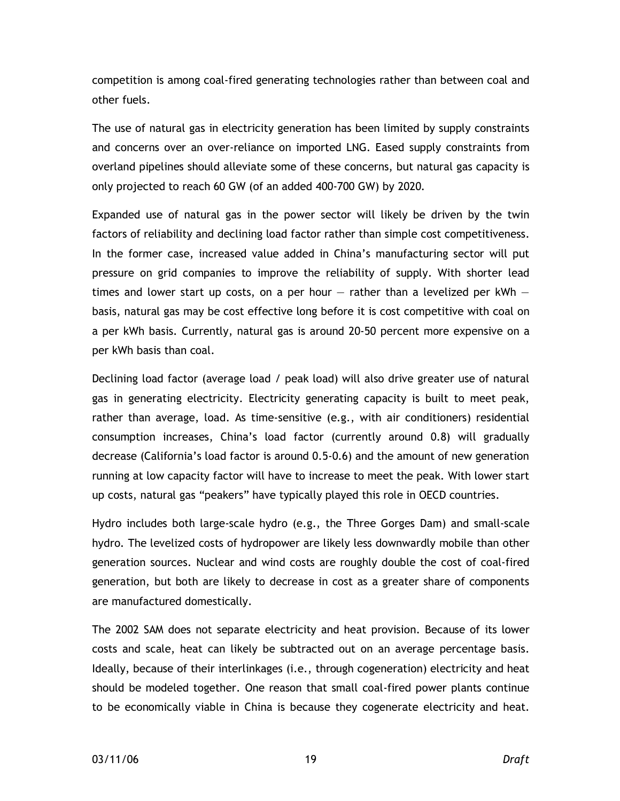competition is among coal-fired generating technologies rather than between coal and other fuels.

The use of natural gas in electricity generation has been limited by supply constraints and concerns over an over-reliance on imported LNG. Eased supply constraints from overland pipelines should alleviate some of these concerns, but natural gas capacity is only projected to reach 60 GW (of an added 400-700 GW) by 2020.

Expanded use of natural gas in the power sector will likely be driven by the twin factors of reliability and declining load factor rather than simple cost competitiveness. In the former case, increased value added in China's manufacturing sector will put pressure on grid companies to improve the reliability of supply. With shorter lead times and lower start up costs, on a per hour  $-$  rather than a levelized per kWh  $$ basis, natural gas may be cost effective long before it is cost competitive with coal on a per kWh basis. Currently, natural gas is around 20-50 percent more expensive on a per kWh basis than coal.

Declining load factor (average load / peak load) will also drive greater use of natural gas in generating electricity. Electricity generating capacity is built to meet peak, rather than average, load. As time-sensitive (e.g., with air conditioners) residential consumption increases, China's load factor (currently around 0.8) will gradually decrease (California's load factor is around 0.5-0.6) and the amount of new generation running at low capacity factor will have to increase to meet the peak. With lower start up costs, natural gas "peakers" have typically played this role in OECD countries.

Hydro includes both large-scale hydro (e.g., the Three Gorges Dam) and small-scale hydro. The levelized costs of hydropower are likely less downwardly mobile than other generation sources. Nuclear and wind costs are roughly double the cost of coal-fired generation, but both are likely to decrease in cost as a greater share of components are manufactured domestically.

The 2002 SAM does not separate electricity and heat provision. Because of its lower costs and scale, heat can likely be subtracted out on an average percentage basis. Ideally, because of their interlinkages (i.e., through cogeneration) electricity and heat should be modeled together. One reason that small coal-fired power plants continue to be economically viable in China is because they cogenerate electricity and heat.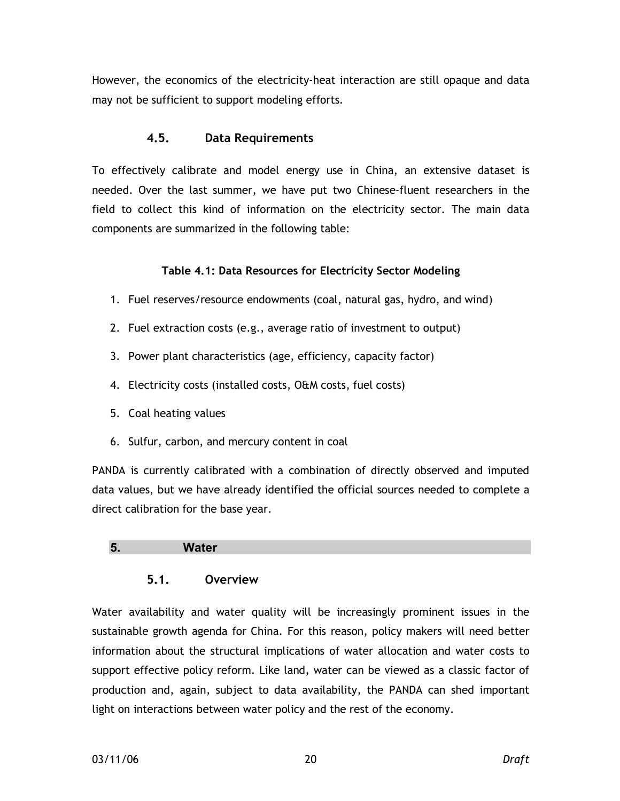However, the economics of the electricity-heat interaction are still opaque and data may not be sufficient to support modeling efforts.

## **4.5. Data Requirements**

To effectively calibrate and model energy use in China, an extensive dataset is needed. Over the last summer, we have put two Chinese-fluent researchers in the field to collect this kind of information on the electricity sector. The main data components are summarized in the following table:

#### **Table 4.1: Data Resources for Electricity Sector Modeling**

- 1. Fuel reserves/resource endowments (coal, natural gas, hydro, and wind)
- 2. Fuel extraction costs (e.g., average ratio of investment to output)
- 3. Power plant characteristics (age, efficiency, capacity factor)
- 4. Electricity costs (installed costs, O&M costs, fuel costs)
- 5. Coal heating values
- 6. Sulfur, carbon, and mercury content in coal

PANDA is currently calibrated with a combination of directly observed and imputed data values, but we have already identified the official sources needed to complete a direct calibration for the base year.

#### **5. Water**

#### **5.1. Overview**

Water availability and water quality will be increasingly prominent issues in the sustainable growth agenda for China. For this reason, policy makers will need better information about the structural implications of water allocation and water costs to support effective policy reform. Like land, water can be viewed as a classic factor of production and, again, subject to data availability, the PANDA can shed important light on interactions between water policy and the rest of the economy.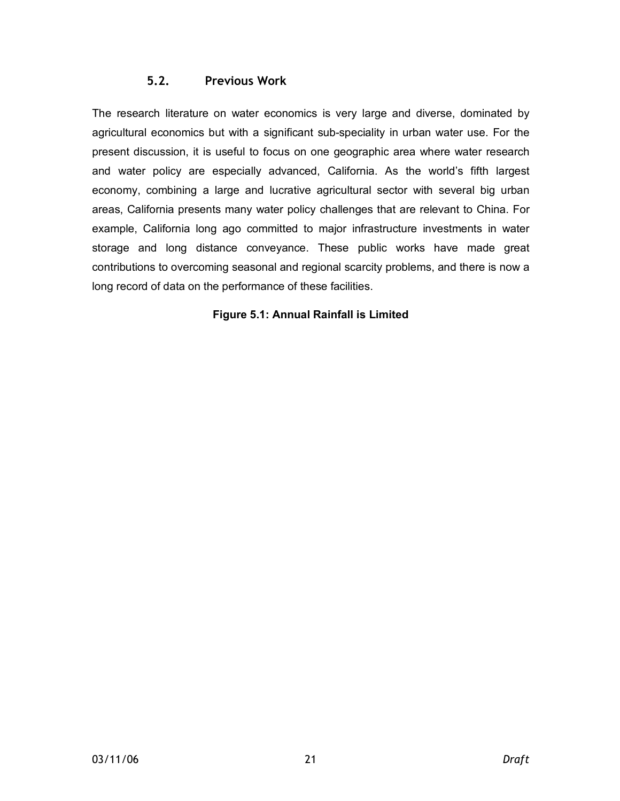## **5.2. Previous Work**

The research literature on water economics is very large and diverse, dominated by agricultural economics but with a significant sub-speciality in urban water use. For the present discussion, it is useful to focus on one geographic area where water research and water policy are especially advanced, California. As the world's fifth largest economy, combining a large and lucrative agricultural sector with several big urban areas, California presents many water policy challenges that are relevant to China. For example, California long ago committed to major infrastructure investments in water storage and long distance conveyance. These public works have made great contributions to overcoming seasonal and regional scarcity problems, and there is now a long record of data on the performance of these facilities.

#### **Figure 5.1: Annual Rainfall is Limited**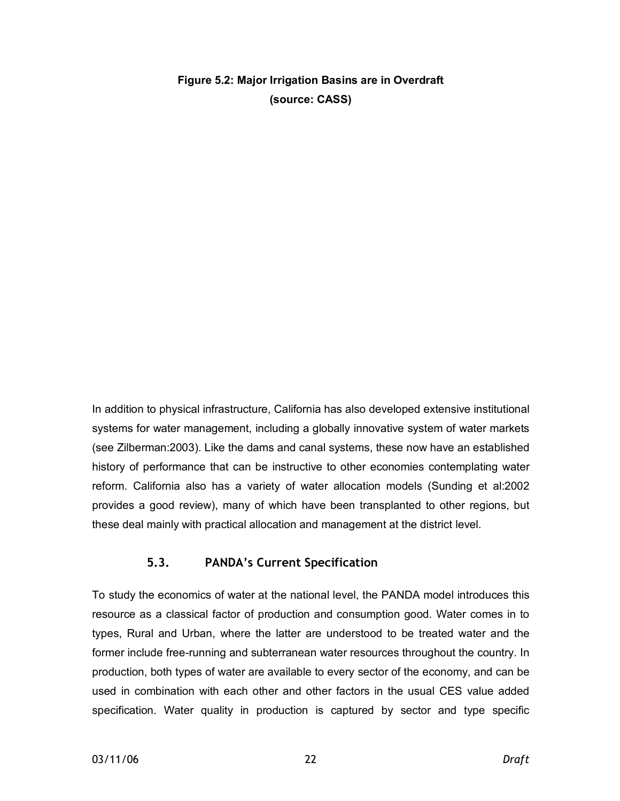# **Figure 5.2: Major Irrigation Basins are in Overdraft (source: CASS)**

In addition to physical infrastructure, California has also developed extensive institutional systems for water management, including a globally innovative system of water markets (see Zilberman:2003). Like the dams and canal systems, these now have an established history of performance that can be instructive to other economies contemplating water reform. California also has a variety of water allocation models (Sunding et al:2002 provides a good review), many of which have been transplanted to other regions, but these deal mainly with practical allocation and management at the district level.

#### **5.3. PANDA's Current Specification**

To study the economics of water at the national level, the PANDA model introduces this resource as a classical factor of production and consumption good. Water comes in to types, Rural and Urban, where the latter are understood to be treated water and the former include free-running and subterranean water resources throughout the country. In production, both types of water are available to every sector of the economy, and can be used in combination with each other and other factors in the usual CES value added specification. Water quality in production is captured by sector and type specific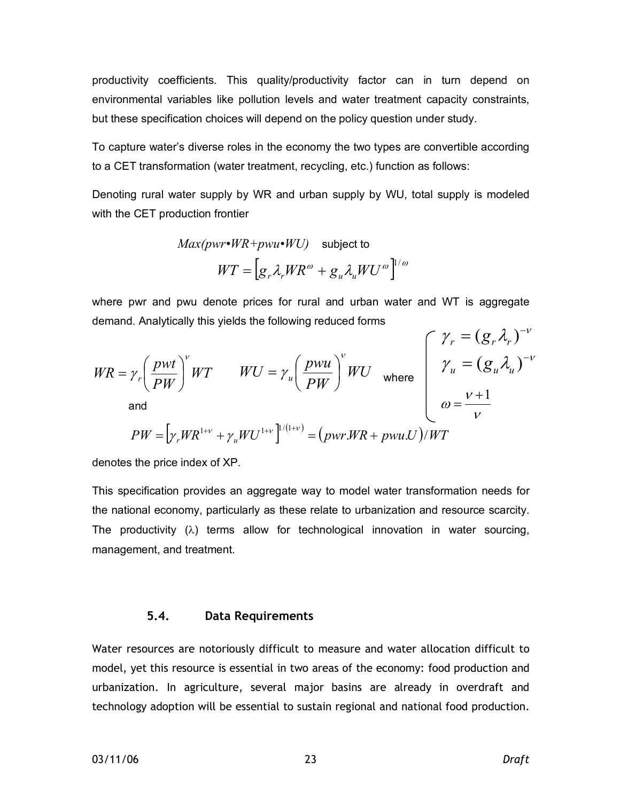productivity coefficients. This quality/productivity factor can in turn depend on environmental variables like pollution levels and water treatment capacity constraints, but these specification choices will depend on the policy question under study.

To capture water's diverse roles in the economy the two types are convertible according to a CET transformation (water treatment, recycling, etc.) function as follows:

Denoting rural water supply by WR and urban supply by WU, total supply is modeled with the CET production frontier

$$
Max(pwr\bullet WR + pwu\bullet WU) \quad \text{subject to}
$$

$$
WT = \left[g_r \lambda_r WR^{\omega} + g_u \lambda_u WU^{\omega}\right]^{1/\omega}
$$

where pwr and pwu denote prices for rural and urban water and WT is aggregate demand. Analytically this yields the following reduced forms  $\epsilon$   $\alpha$   $\beta$   $\lambda$ <sup>-V</sup>

$$
WR = \gamma_r \left(\frac{pwt}{PW}\right)^v WT \qquad WU = \gamma_u \left(\frac{pwu}{PW}\right)^v WU \qquad \text{where} \qquad \begin{cases} \gamma_r = (g_r \lambda_r) \\ \gamma_u = (g_u \lambda_u)^{-v} \\ \omega = \frac{v+1}{v} \end{cases}
$$
  
\n
$$
PW = \left[\gamma_r WR^{1+v} + \gamma_u WU^{1+v}\right]^{1/(1+v)} = \left(pwr.WR + pwu.U\right)/WT
$$

denotes the price index of XP.

This specification provides an aggregate way to model water transformation needs for the national economy, particularly as these relate to urbanization and resource scarcity. The productivity  $(\lambda)$  terms allow for technological innovation in water sourcing, management, and treatment.

#### **5.4. Data Requirements**

Water resources are notoriously difficult to measure and water allocation difficult to model, yet this resource is essential in two areas of the economy: food production and urbanization. In agriculture, several major basins are already in overdraft and technology adoption will be essential to sustain regional and national food production.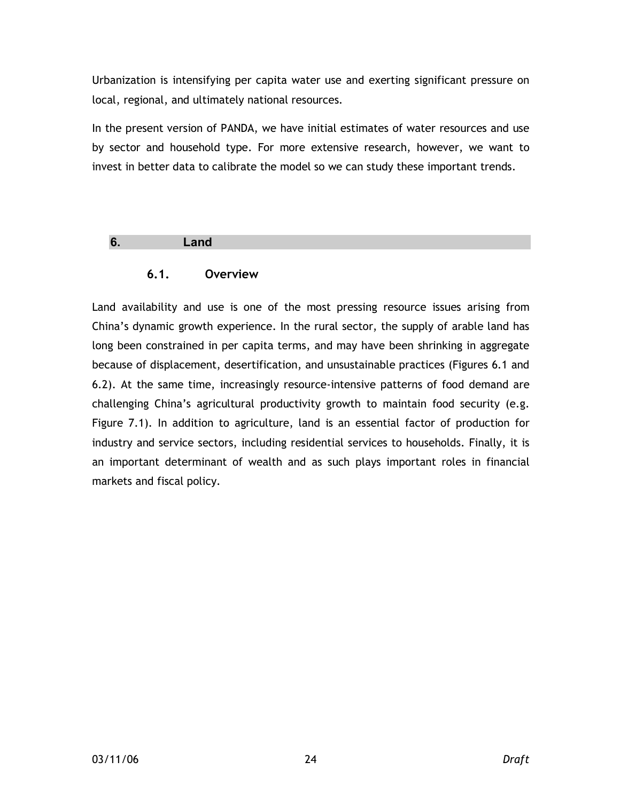Urbanization is intensifying per capita water use and exerting significant pressure on local, regional, and ultimately national resources.

In the present version of PANDA, we have initial estimates of water resources and use by sector and household type. For more extensive research, however, we want to invest in better data to calibrate the model so we can study these important trends.

#### **6. Land**

## **6.1. Overview**

Land availability and use is one of the most pressing resource issues arising from China's dynamic growth experience. In the rural sector, the supply of arable land has long been constrained in per capita terms, and may have been shrinking in aggregate because of displacement, desertification, and unsustainable practices (Figures 6.1 and 6.2). At the same time, increasingly resource-intensive patterns of food demand are challenging China's agricultural productivity growth to maintain food security (e.g. Figure 7.1). In addition to agriculture, land is an essential factor of production for industry and service sectors, including residential services to households. Finally, it is an important determinant of wealth and as such plays important roles in financial markets and fiscal policy.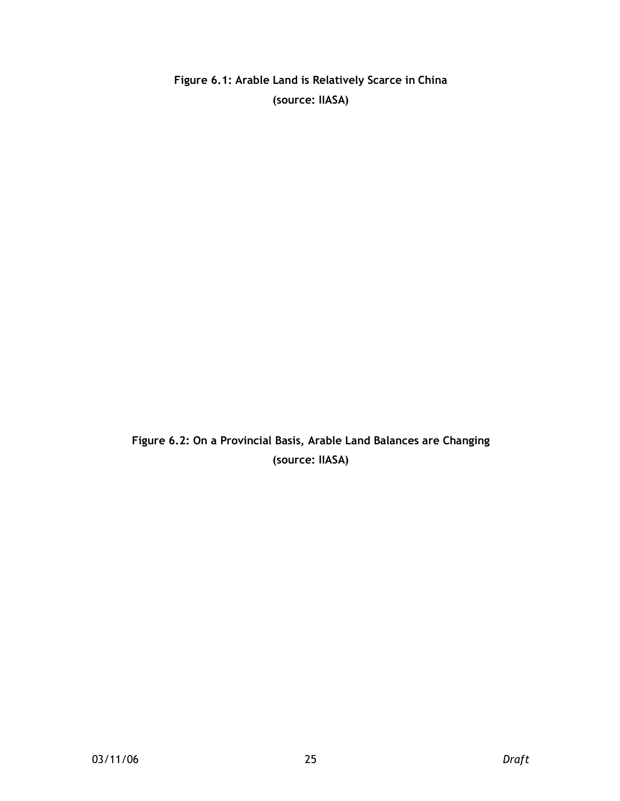**Figure 6.1: Arable Land is Relatively Scarce in China (source: IIASA)**

**Figure 6.2: On a Provincial Basis, Arable Land Balances are Changing (source: IIASA)**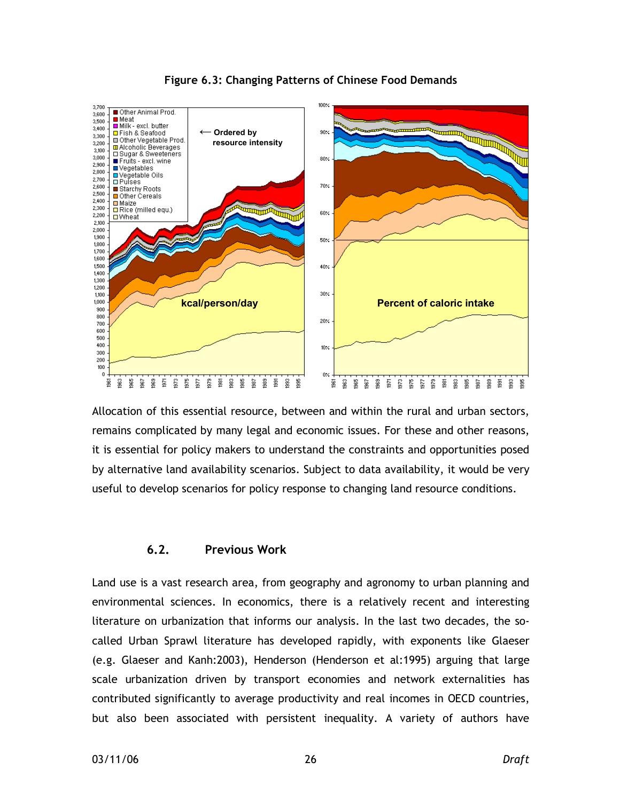

**Figure 6.3: Changing Patterns of Chinese Food Demands**

Allocation of this essential resource, between and within the rural and urban sectors, remains complicated by many legal and economic issues. For these and other reasons, it is essential for policy makers to understand the constraints and opportunities posed by alternative land availability scenarios. Subject to data availability, it would be very useful to develop scenarios for policy response to changing land resource conditions.

#### **6.2. Previous Work**

Land use is a vast research area, from geography and agronomy to urban planning and environmental sciences. In economics, there is a relatively recent and interesting literature on urbanization that informs our analysis. In the last two decades, the socalled Urban Sprawl literature has developed rapidly, with exponents like Glaeser (e.g. Glaeser and Kanh:2003), Henderson (Henderson et al:1995) arguing that large scale urbanization driven by transport economies and network externalities has contributed significantly to average productivity and real incomes in OECD countries, but also been associated with persistent inequality. A variety of authors have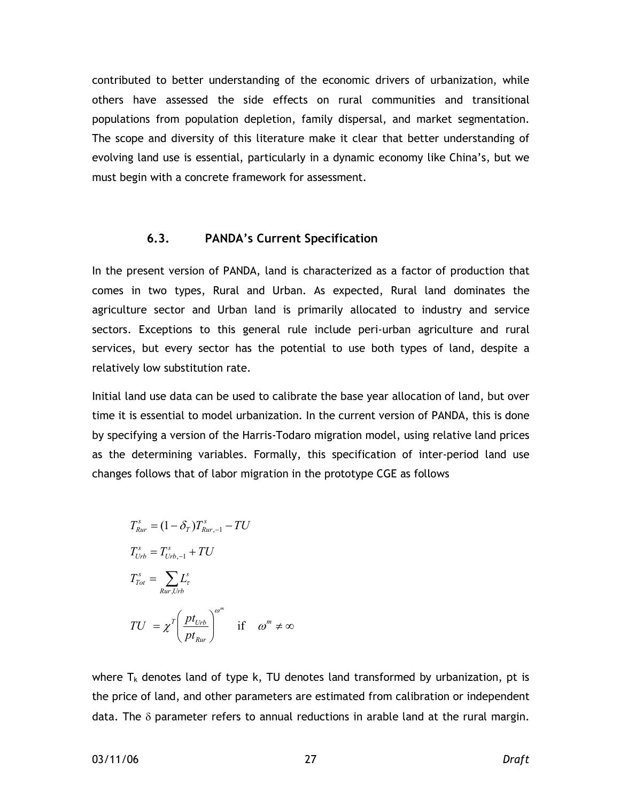contributed to better understanding of the economic drivers of urbanization, while others have assessed the side effects on rural communities and transitional populations from population depletion, family dispersal, and market segmentation. The scope and diversity of this literature make it clear that better understanding of evolving land use is essential, particularly in a dynamic economy like China's, but we must begin with a concrete framework for assessment.

#### **6.3. PANDA's Current Specification**

In the present version of PANDA, land is characterized as a factor of production that comes in two types, Rural and Urban. As expected, Rural land dominates the agriculture sector and Urban land is primarily allocated to industry and service sectors. Exceptions to this general rule include peri-urban agriculture and rural services, but every sector has the potential to use both types of land, despite a relatively low substitution rate.

Initial land use data can be used to calibrate the base year allocation of land, but over time it is essential to model urbanization. In the current version of PANDA, this is done by specifying a version of the Harris-Todaro migration model, using relative land prices as the determining variables. Formally, this specification of inter-period land use changes follows that of labor migration in the prototype CGE as follows

$$
T_{Rur}^{s} = (1 - \delta_T) T_{Rur, -1}^{s} - TU
$$
  
\n
$$
T_{Urb}^{s} = T_{Urb, -1}^{s} + TU
$$
  
\n
$$
T_{Tot}^{s} = \sum_{Rur, Urb} L_{\tau}^{s}
$$
  
\n
$$
TU = \chi^{T} \left(\frac{pt_{Urb}}{pt_{Rur}}\right)^{\omega^{m}}
$$
 if  $\omega^{m} \neq \infty$ 

where  $T_k$  denotes land of type k, TU denotes land transformed by urbanization, pt is the price of land, and other parameters are estimated from calibration or independent data. The  $\delta$  parameter refers to annual reductions in arable land at the rural margin.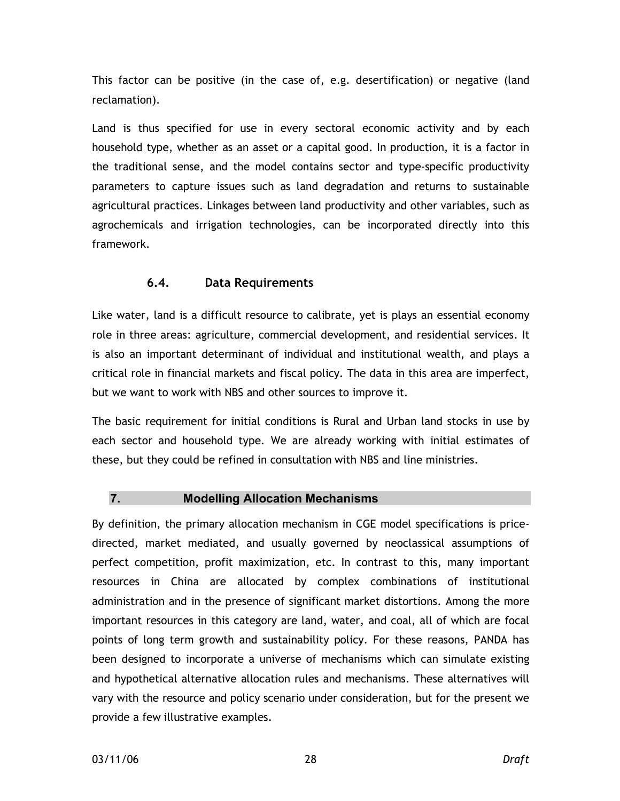This factor can be positive (in the case of, e.g. desertification) or negative (land reclamation).

Land is thus specified for use in every sectoral economic activity and by each household type, whether as an asset or a capital good. In production, it is a factor in the traditional sense, and the model contains sector and type-specific productivity parameters to capture issues such as land degradation and returns to sustainable agricultural practices. Linkages between land productivity and other variables, such as agrochemicals and irrigation technologies, can be incorporated directly into this framework.

## **6.4. Data Requirements**

Like water, land is a difficult resource to calibrate, yet is plays an essential economy role in three areas: agriculture, commercial development, and residential services. It is also an important determinant of individual and institutional wealth, and plays a critical role in financial markets and fiscal policy. The data in this area are imperfect, but we want to work with NBS and other sources to improve it.

The basic requirement for initial conditions is Rural and Urban land stocks in use by each sector and household type. We are already working with initial estimates of these, but they could be refined in consultation with NBS and line ministries.

#### **7. Modelling Allocation Mechanisms**

By definition, the primary allocation mechanism in CGE model specifications is pricedirected, market mediated, and usually governed by neoclassical assumptions of perfect competition, profit maximization, etc. In contrast to this, many important resources in China are allocated by complex combinations of institutional administration and in the presence of significant market distortions. Among the more important resources in this category are land, water, and coal, all of which are focal points of long term growth and sustainability policy. For these reasons, PANDA has been designed to incorporate a universe of mechanisms which can simulate existing and hypothetical alternative allocation rules and mechanisms. These alternatives will vary with the resource and policy scenario under consideration, but for the present we provide a few illustrative examples.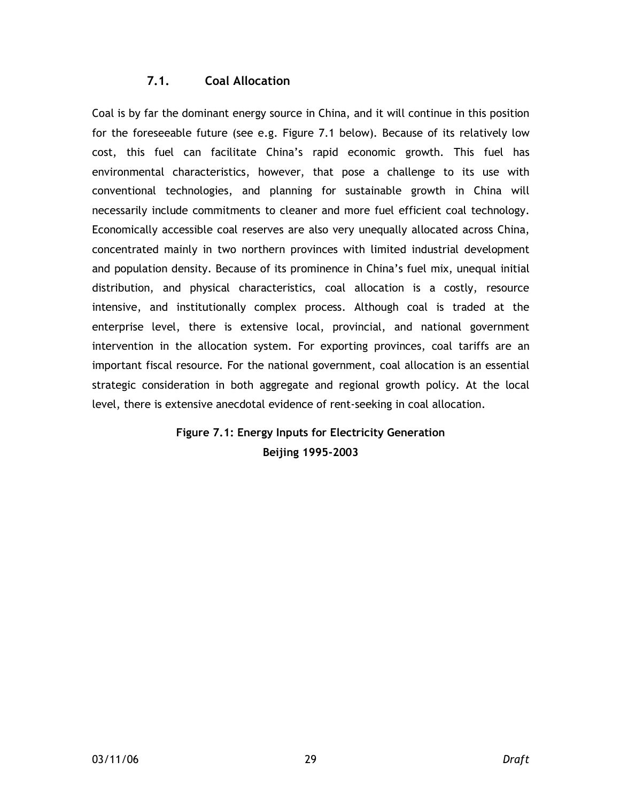# **7.1. Coal Allocation**

Coal is by far the dominant energy source in China, and it will continue in this position for the foreseeable future (see e.g. Figure 7.1 below). Because of its relatively low cost, this fuel can facilitate China's rapid economic growth. This fuel has environmental characteristics, however, that pose a challenge to its use with conventional technologies, and planning for sustainable growth in China will necessarily include commitments to cleaner and more fuel efficient coal technology. Economically accessible coal reserves are also very unequally allocated across China, concentrated mainly in two northern provinces with limited industrial development and population density. Because of its prominence in China's fuel mix, unequal initial distribution, and physical characteristics, coal allocation is a costly, resource intensive, and institutionally complex process. Although coal is traded at the enterprise level, there is extensive local, provincial, and national government intervention in the allocation system. For exporting provinces, coal tariffs are an important fiscal resource. For the national government, coal allocation is an essential strategic consideration in both aggregate and regional growth policy. At the local level, there is extensive anecdotal evidence of rent-seeking in coal allocation.

# **Figure 7.1: Energy Inputs for Electricity Generation Beijing 1995-2003**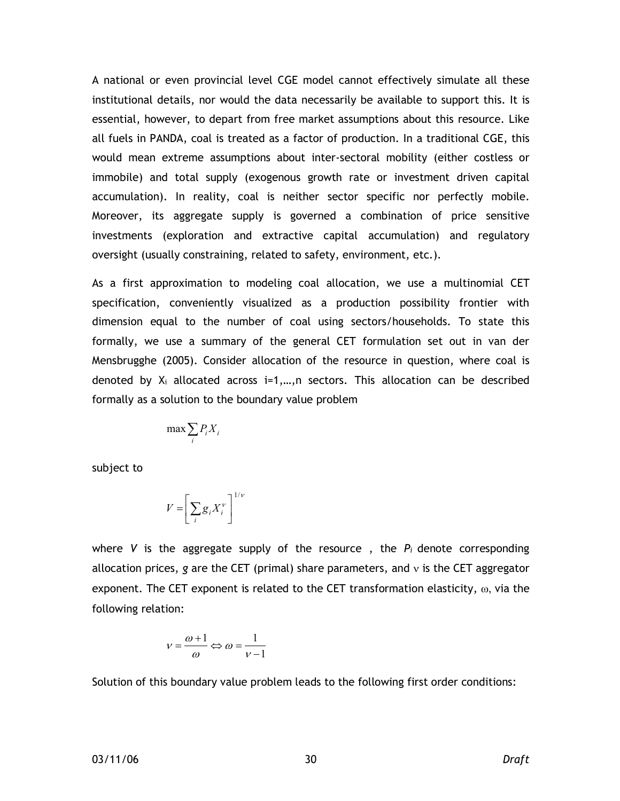A national or even provincial level CGE model cannot effectively simulate all these institutional details, nor would the data necessarily be available to support this. It is essential, however, to depart from free market assumptions about this resource. Like all fuels in PANDA, coal is treated as a factor of production. In a traditional CGE, this would mean extreme assumptions about inter-sectoral mobility (either costless or immobile) and total supply (exogenous growth rate or investment driven capital accumulation). In reality, coal is neither sector specific nor perfectly mobile. Moreover, its aggregate supply is governed a combination of price sensitive investments (exploration and extractive capital accumulation) and regulatory oversight (usually constraining, related to safety, environment, etc.).

As a first approximation to modeling coal allocation, we use a multinomial CET specification, conveniently visualized as a production possibility frontier with dimension equal to the number of coal using sectors/households. To state this formally, we use a summary of the general CET formulation set out in van der Mensbrugghe (2005). Consider allocation of the resource in question, where coal is denoted by  $X_i$  allocated across  $i=1,...,n$  sectors. This allocation can be described formally as a solution to the boundary value problem

$$
\max \sum_i P_i X_i
$$

subject to

$$
V = \left[ \sum_i g_i X_i^v \right]^{1/v}
$$

where *V* is the aggregate supply of the resource , the *Pi* denote corresponding allocation prices,  $g$  are the CET (primal) share parameters, and  $v$  is the CET aggregator exponent. The CET exponent is related to the CET transformation elasticity,  $\omega$ , via the following relation:

$$
v = \frac{\omega + 1}{\omega} \Longleftrightarrow \omega = \frac{1}{v - 1}
$$

Solution of this boundary value problem leads to the following first order conditions: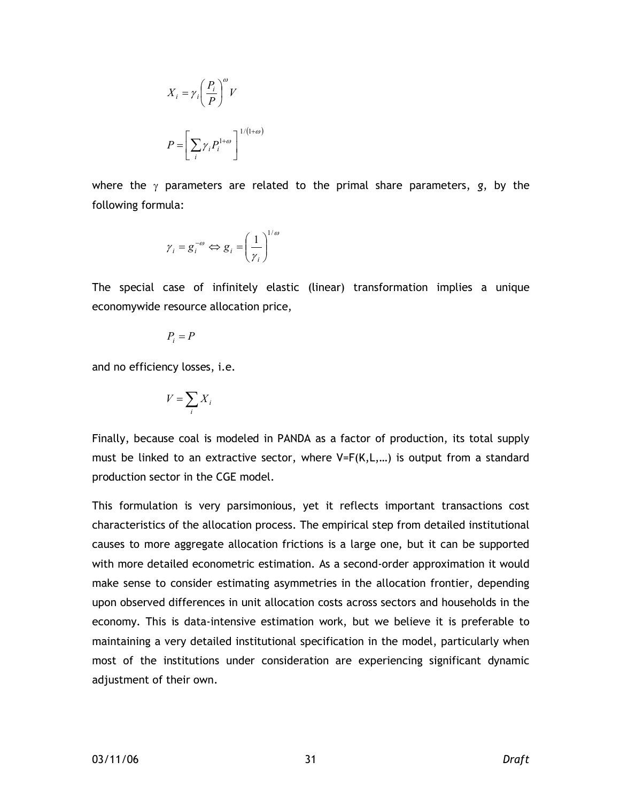$$
X_i = \gamma_i \left(\frac{P_i}{P}\right)^{\omega} V
$$

$$
P = \left[\sum_i \gamma_i P_i^{1+\omega}\right]^{1/(1+\omega)}
$$

where the  $\gamma$  parameters are related to the primal share parameters, *g*, by the following formula:

$$
\gamma_i = g_i^{-\omega} \Leftrightarrow g_i = \left(\frac{1}{\gamma_i}\right)^{1/\omega}
$$

The special case of infinitely elastic (linear) transformation implies a unique economywide resource allocation price,

$$
P_i = P
$$

and no efficiency losses, i.e.

$$
V = \sum_i X_i
$$

Finally, because coal is modeled in PANDA as a factor of production, its total supply must be linked to an extractive sector, where V=F(K,L,…) is output from a standard production sector in the CGE model.

This formulation is very parsimonious, yet it reflects important transactions cost characteristics of the allocation process. The empirical step from detailed institutional causes to more aggregate allocation frictions is a large one, but it can be supported with more detailed econometric estimation. As a second-order approximation it would make sense to consider estimating asymmetries in the allocation frontier, depending upon observed differences in unit allocation costs across sectors and households in the economy. This is data-intensive estimation work, but we believe it is preferable to maintaining a very detailed institutional specification in the model, particularly when most of the institutions under consideration are experiencing significant dynamic adjustment of their own.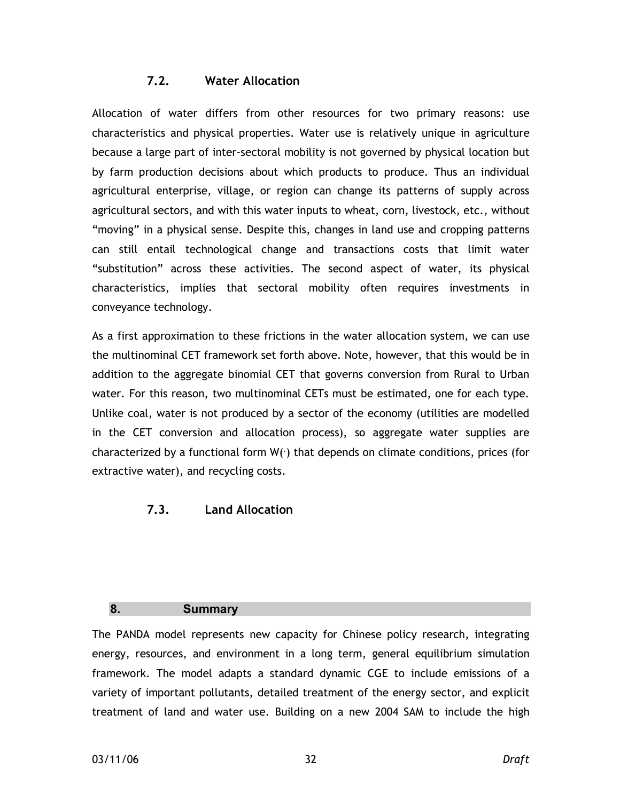## **7.2. Water Allocation**

Allocation of water differs from other resources for two primary reasons: use characteristics and physical properties. Water use is relatively unique in agriculture because a large part of inter-sectoral mobility is not governed by physical location but by farm production decisions about which products to produce. Thus an individual agricultural enterprise, village, or region can change its patterns of supply across agricultural sectors, and with this water inputs to wheat, corn, livestock, etc., without "moving" in a physical sense. Despite this, changes in land use and cropping patterns can still entail technological change and transactions costs that limit water "substitution" across these activities. The second aspect of water, its physical characteristics, implies that sectoral mobility often requires investments in conveyance technology.

As a first approximation to these frictions in the water allocation system, we can use the multinominal CET framework set forth above. Note, however, that this would be in addition to the aggregate binomial CET that governs conversion from Rural to Urban water. For this reason, two multinominal CETs must be estimated, one for each type. Unlike coal, water is not produced by a sector of the economy (utilities are modelled in the CET conversion and allocation process), so aggregate water supplies are characterized by a functional form  $W(·)$  that depends on climate conditions, prices (for extractive water), and recycling costs.

# **7.3. Land Allocation**

#### **8. Summary**

The PANDA model represents new capacity for Chinese policy research, integrating energy, resources, and environment in a long term, general equilibrium simulation framework. The model adapts a standard dynamic CGE to include emissions of a variety of important pollutants, detailed treatment of the energy sector, and explicit treatment of land and water use. Building on a new 2004 SAM to include the high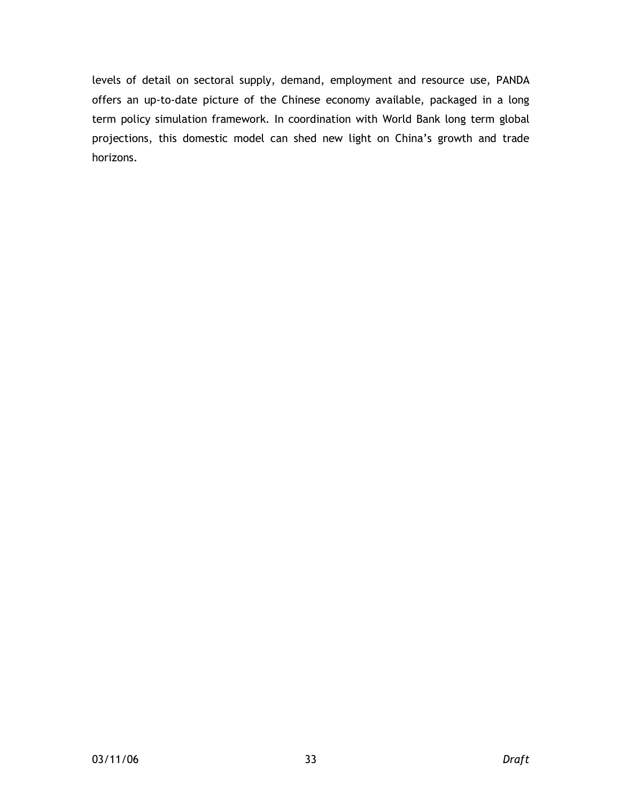levels of detail on sectoral supply, demand, employment and resource use, PANDA offers an up-to-date picture of the Chinese economy available, packaged in a long term policy simulation framework. In coordination with World Bank long term global projections, this domestic model can shed new light on China's growth and trade horizons.